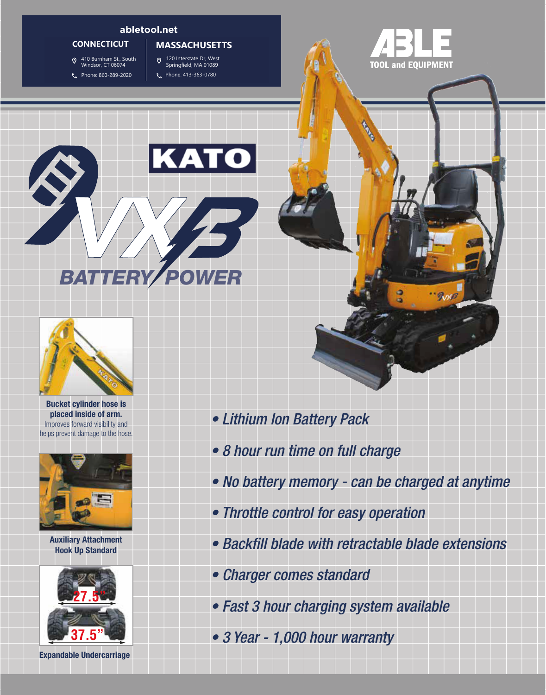#### **abletool.net**

## **CONNECTICUT**

#

- 
- South Windsor, CT 06074 410 Burnham St., South Windsor, CT 06074
	- 860-289-2020 Phone: 860-289-2020

## 120 Interstate Dr. **MASSACHUSETTS**

- 120 Interstate Dr, West Springfield, MA 01089
- 413.363.0780 Phone: 413-363-0780

**•** 









**Bucket cylinder hose is placed inside of arm.** Improves forward visibility and helps prevent damage to the hose.



**Auxiliary Attachment Hook Up Standard**



**Expandable Undercarriage**

- *Lithium Ion Battery Pack*
- *8 hour run time on full charge*
- *No battery memory can be charged at anytime*
- *Throttle control for easy operation*
- *Backfill blade with retractable blade extensions*
- *Charger comes standard*
- *Fast 3 hour charging system available*
- *3 Year 1,000 hour warranty*